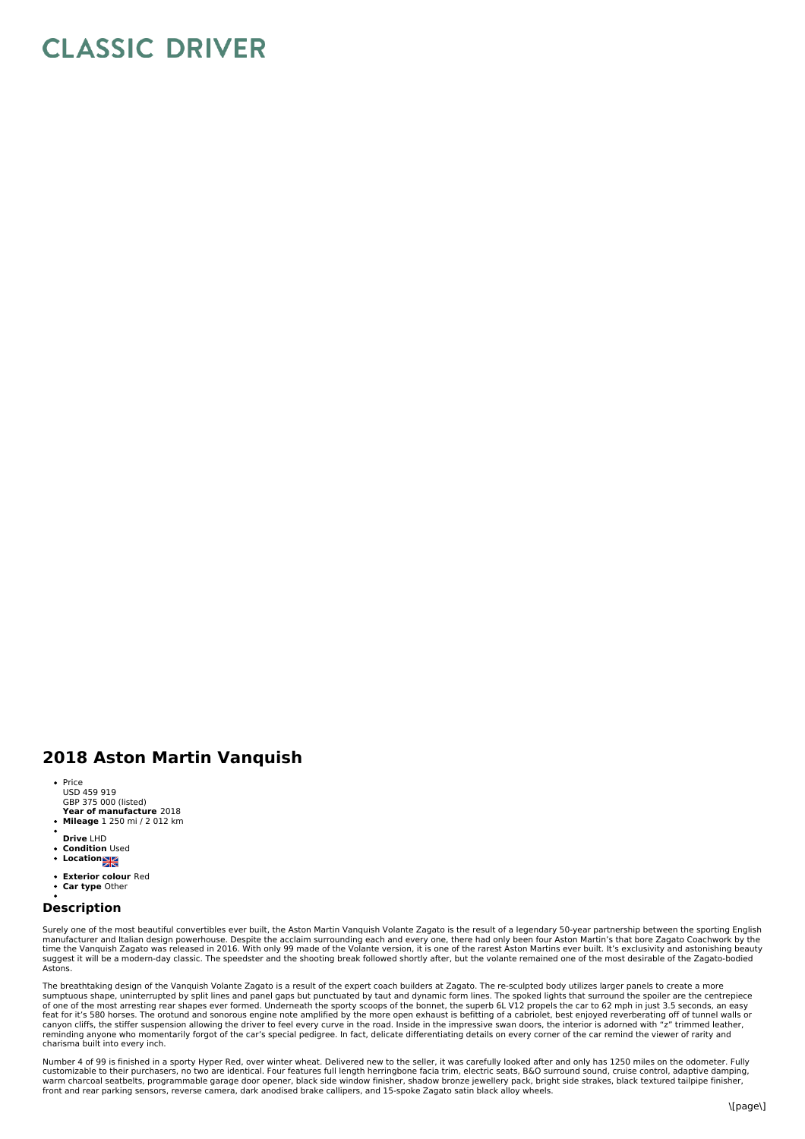## **CLASSIC DRIVER**

## **2018 Aston Martin Vanquish**

- **Year of manufacture** 2018 • Price USD 459 919 GBP 375 000 (listed)
- **Mileage** 1 250 mi / 2 012 km
- 
- **Drive** LHD **Condition** Used
- Location<sub>2</sub>
- **Exterior colour** Red
- **Car type** Other

## **Description**

Surely one of the most beautiful convertibles ever built, the Aston Martin Vanquish Volante Zagato is the result of a legendary 50-year partnership between the sporting English<br>manufacturer and Italian design powerhouse. D Astons.

The breathtaking design of the Vanquish Volante Zagato is a result of the expert coach builders at Zagato. The re-sculpted body utilizes larger panels to create a more<br>sumptuous shape, uninterrupted by split lines and pane feat for it's 580 horses. The orotund and sonorous engine note amplified by the more open exhaust is befitting of a cabriolet, best enjoyed reverberating off of tunnel walls or<br>canyon cliffs, the stiffer suspension allowin reminding anyone who momentarily forgot of the car's special pedigree. In fact, delicate differentiating details on every corner of the car remind the viewer of rarity and charisma built into every inch.

Number 4 of 99 is finished in a sporty Hyper Red, over winter wheat. Delivered new to the seller, it was carefully looked after and only has 1250 miles on the odometer. Fully<br>customizable to their purchasers, no two are id warm charcoal seatbelts, programmable garage door opener, black side window finisher, shadow bronze jewellery pack, bright side strakes, black textured tailpipe finisher,<br>front and rear parking sensors, reverse camera, dar